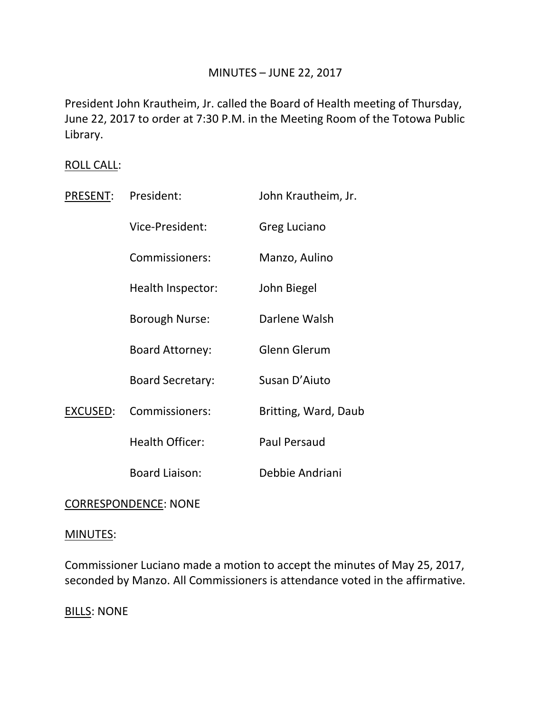# MINUTES – JUNE 22, 2017

President John Krautheim, Jr. called the Board of Health meeting of Thursday, June 22, 2017 to order at 7:30 P.M. in the Meeting Room of the Totowa Public Library.

## ROLL CALL:

| PRESENT: | President:              | John Krautheim, Jr.  |
|----------|-------------------------|----------------------|
|          | Vice-President:         | Greg Luciano         |
|          | Commissioners:          | Manzo, Aulino        |
|          | Health Inspector:       | John Biegel          |
|          | Borough Nurse:          | Darlene Walsh        |
|          | <b>Board Attorney:</b>  | <b>Glenn Glerum</b>  |
|          | <b>Board Secretary:</b> | Susan D'Aiuto        |
| EXCUSED: | Commissioners:          | Britting, Ward, Daub |
|          | <b>Health Officer:</b>  | <b>Paul Persaud</b>  |
|          | <b>Board Liaison:</b>   | Debbie Andriani      |

# CORRESPONDENCE: NONE

### MINUTES:

Commissioner Luciano made a motion to accept the minutes of May 25, 2017, seconded by Manzo. All Commissioners is attendance voted in the affirmative.

BILLS: NONE